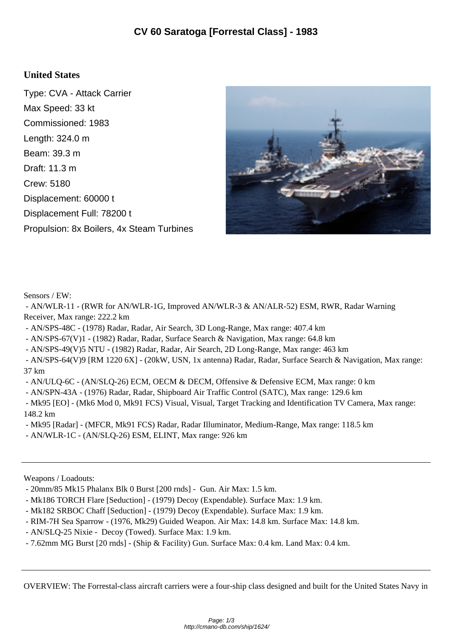## **United States**

Type: CVA - Attack Carrier Max Speed: 33 kt Commissioned: 1983 Length: 324.0 m Beam: 39.3 m Draft: 11.3 m Crew: 5180 Displacement: 60000 t Displacement Full: 78200 t Propulsion: 8x Boilers, 4x Steam Turbines



Sensors / EW:

 - AN/WLR-11 - (RWR for AN/WLR-1G, Improved AN/WLR-3 & AN/ALR-52) ESM, RWR, Radar Warning Receiver, Max range: 222.2 km

- AN/SPS-48C - (1978) Radar, Radar, Air Search, 3D Long-Range, Max range: 407.4 km

- AN/SPS-67(V)1 - (1982) Radar, Radar, Surface Search & Navigation, Max range: 64.8 km

- AN/SPS-49(V)5 NTU - (1982) Radar, Radar, Air Search, 2D Long-Range, Max range: 463 km

 - AN/SPS-64(V)9 [RM 1220 6X] - (20kW, USN, 1x antenna) Radar, Radar, Surface Search & Navigation, Max range: 37 km

- AN/ULQ-6C - (AN/SLQ-26) ECM, OECM & DECM, Offensive & Defensive ECM, Max range: 0 km

- AN/SPN-43A - (1976) Radar, Radar, Shipboard Air Traffic Control (SATC), Max range: 129.6 km

 - Mk95 [EO] - (Mk6 Mod 0, Mk91 FCS) Visual, Visual, Target Tracking and Identification TV Camera, Max range: 148.2 km

- Mk95 [Radar] - (MFCR, Mk91 FCS) Radar, Radar Illuminator, Medium-Range, Max range: 118.5 km

- AN/WLR-1C - (AN/SLQ-26) ESM, ELINT, Max range: 926 km

Weapons / Loadouts:

- 20mm/85 Mk15 Phalanx Blk 0 Burst [200 rnds] - Gun. Air Max: 1.5 km.

- Mk186 TORCH Flare [Seduction] - (1979) Decoy (Expendable). Surface Max: 1.9 km.

- Mk182 SRBOC Chaff [Seduction] - (1979) Decoy (Expendable). Surface Max: 1.9 km.

- RIM-7H Sea Sparrow (1976, Mk29) Guided Weapon. Air Max: 14.8 km. Surface Max: 14.8 km.
- AN/SLQ-25 Nixie Decoy (Towed). Surface Max: 1.9 km.

- 7.62mm MG Burst [20 rnds] - (Ship & Facility) Gun. Surface Max: 0.4 km. Land Max: 0.4 km.

OVERVIEW: The Forrestal-class aircraft carriers were a four-ship class designed and built for the United States Navy in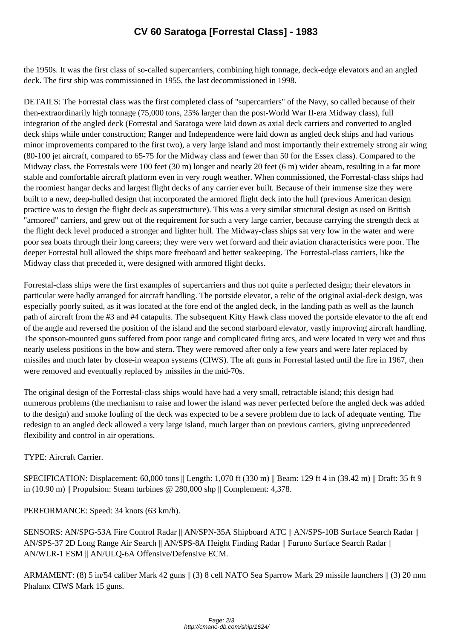the 1950s. It was the first class o[f so-called supercarriers, combining high tonnage, deck](http://cmano-db.com/ship/1624/)-edge elevators and an angled deck. The first ship was commissioned in 1955, the last decommissioned in 1998.

DETAILS: The Forrestal class was the first completed class of "supercarriers" of the Navy, so called because of their then-extraordinarily high tonnage (75,000 tons, 25% larger than the post-World War II-era Midway class), full integration of the angled deck (Forrestal and Saratoga were laid down as axial deck carriers and converted to angled deck ships while under construction; Ranger and Independence were laid down as angled deck ships and had various minor improvements compared to the first two), a very large island and most importantly their extremely strong air wing (80-100 jet aircraft, compared to 65-75 for the Midway class and fewer than 50 for the Essex class). Compared to the Midway class, the Forrestals were 100 feet (30 m) longer and nearly 20 feet (6 m) wider abeam, resulting in a far more stable and comfortable aircraft platform even in very rough weather. When commissioned, the Forrestal-class ships had the roomiest hangar decks and largest flight decks of any carrier ever built. Because of their immense size they were built to a new, deep-hulled design that incorporated the armored flight deck into the hull (previous American design practice was to design the flight deck as superstructure). This was a very similar structural design as used on British "armored" carriers, and grew out of the requirement for such a very large carrier, because carrying the strength deck at the flight deck level produced a stronger and lighter hull. The Midway-class ships sat very low in the water and were poor sea boats through their long careers; they were very wet forward and their aviation characteristics were poor. The deeper Forrestal hull allowed the ships more freeboard and better seakeeping. The Forrestal-class carriers, like the Midway class that preceded it, were designed with armored flight decks.

Forrestal-class ships were the first examples of supercarriers and thus not quite a perfected design; their elevators in particular were badly arranged for aircraft handling. The portside elevator, a relic of the original axial-deck design, was especially poorly suited, as it was located at the fore end of the angled deck, in the landing path as well as the launch path of aircraft from the #3 and #4 catapults. The subsequent Kitty Hawk class moved the portside elevator to the aft end of the angle and reversed the position of the island and the second starboard elevator, vastly improving aircraft handling. The sponson-mounted guns suffered from poor range and complicated firing arcs, and were located in very wet and thus nearly useless positions in the bow and stern. They were removed after only a few years and were later replaced by missiles and much later by close-in weapon systems (CIWS). The aft guns in Forrestal lasted until the fire in 1967, then were removed and eventually replaced by missiles in the mid-70s.

The original design of the Forrestal-class ships would have had a very small, retractable island; this design had numerous problems (the mechanism to raise and lower the island was never perfected before the angled deck was added to the design) and smoke fouling of the deck was expected to be a severe problem due to lack of adequate venting. The redesign to an angled deck allowed a very large island, much larger than on previous carriers, giving unprecedented flexibility and control in air operations.

## TYPE: Aircraft Carrier.

SPECIFICATION: Displacement: 60,000 tons || Length: 1,070 ft (330 m) || Beam: 129 ft 4 in (39.42 m) || Draft: 35 ft 9 in (10.90 m) || Propulsion: Steam turbines @ 280,000 shp || Complement: 4,378.

PERFORMANCE: Speed: 34 knots (63 km/h).

SENSORS: AN/SPG-53A Fire Control Radar || AN/SPN-35A Shipboard ATC || AN/SPS-10B Surface Search Radar || AN/SPS-37 2D Long Range Air Search || AN/SPS-8A Height Finding Radar || Furuno Surface Search Radar || AN/WLR-1 ESM || AN/ULQ-6A Offensive/Defensive ECM.

ARMAMENT: (8) 5 in/54 caliber Mark 42 guns || (3) 8 cell NATO Sea Sparrow Mark 29 missile launchers || (3) 20 mm Phalanx CIWS Mark 15 guns.